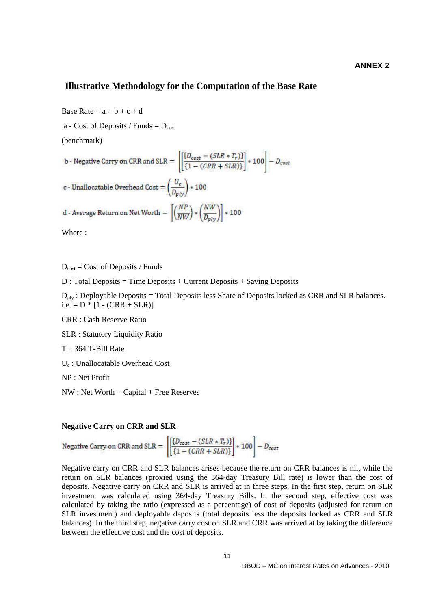## **Illustrative Methodology for the Computation of the Base Rate**

Base Rate =  $a + b + c + d$ 

a - Cost of Deposits / Funds  $= D_{\text{cost}}$ 

(benchmark)

b - Negative Carry on CRR and SLR = 
$$
\left[ \frac{\{D_{cost} - (SLR * T_r)\}}{\{1 - (CRR + SLR)\}} \right] * 100 - D_{cost}
$$
c - Unallocatable Overhead Cost = 
$$
\left( \frac{U_c}{D_{ply}} \right) * 100
$$
d - Average Return on Net Worth = 
$$
\left[ \left( \frac{NP}{NW} \right) * \left( \frac{NW}{D_{ply}} \right) \right] * 100
$$

Where :

 $D_{\text{cost}} = \text{Cost of Deposis} / \text{Funds}$ 

D : Total Deposits = Time Deposits + Current Deposits + Saving Deposits

 $D_{\text{ply}}$ : Deployable Deposits = Total Deposits less Share of Deposits locked as CRR and SLR balances.  $i.e. = D * [1 - (CRR + SLR)]$ 

CRR : Cash Reserve Ratio

SLR : Statutory Liquidity Ratio

 $T_r$ : 364 T-Bill Rate

Uc : Unallocatable Overhead Cost

NP : Net Profit

 $NW: Net Worth = Capital + Free Reserves$ 

## **Negative Carry on CRR and SLR**

Negative Carry on CRR and SLR =  $\left[\frac{\left[ (D_{cost} - (SLR * T_r)) \right]}{\left[1 - (CRR + SLR) \right]} \right] * 100 = D_{cost}$ 

Negative carry on CRR and SLR balances arises because the return on CRR balances is nil, while the return on SLR balances (proxied using the 364-day Treasury Bill rate) is lower than the cost of deposits. Negative carry on CRR and SLR is arrived at in three steps. In the first step, return on SLR investment was calculated using 364-day Treasury Bills. In the second step, effective cost was calculated by taking the ratio (expressed as a percentage) of cost of deposits (adjusted for return on SLR investment) and deployable deposits (total deposits less the deposits locked as CRR and SLR balances). In the third step, negative carry cost on SLR and CRR was arrived at by taking the difference between the effective cost and the cost of deposits.